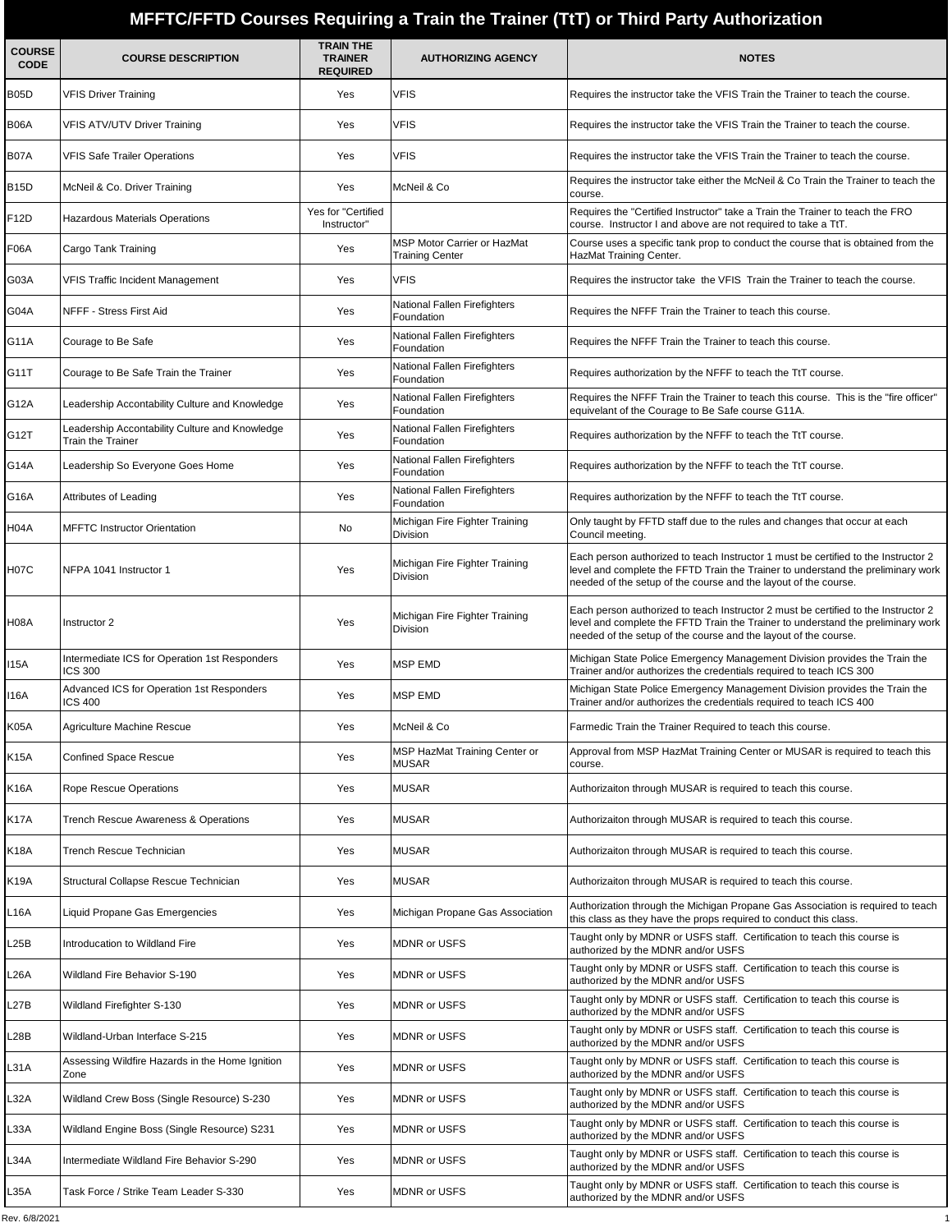## **MFFTC/FFTD Courses Requiring a Train the Trainer (TtT) or Third Party Authorization**

| <b>COURSE</b><br><b>CODE</b> | <b>COURSE DESCRIPTION</b>                                                 | <b>TRAIN THE</b><br><b>TRAINER</b><br><b>REQUIRED</b> | <b>AUTHORIZING AGENCY</b>                             | <b>NOTES</b>                                                                                                                                                                                                                              |
|------------------------------|---------------------------------------------------------------------------|-------------------------------------------------------|-------------------------------------------------------|-------------------------------------------------------------------------------------------------------------------------------------------------------------------------------------------------------------------------------------------|
| B05D                         | VFIS Driver Training                                                      | Yes                                                   | VFIS                                                  | Requires the instructor take the VFIS Train the Trainer to teach the course.                                                                                                                                                              |
| B06A                         | <b>VFIS ATV/UTV Driver Training</b>                                       | Yes                                                   | <b>VFIS</b>                                           | Requires the instructor take the VFIS Train the Trainer to teach the course.                                                                                                                                                              |
| B07A                         | <b>VFIS Safe Trailer Operations</b>                                       | Yes                                                   | <b>VFIS</b>                                           | Requires the instructor take the VFIS Train the Trainer to teach the course.                                                                                                                                                              |
| B15D                         | McNeil & Co. Driver Training                                              | Yes                                                   | McNeil & Co                                           | Requires the instructor take either the McNeil & Co Train the Trainer to teach the<br>course.                                                                                                                                             |
| F12D                         | Hazardous Materials Operations                                            | Yes for "Certified<br>Instructor"                     |                                                       | Requires the "Certified Instructor" take a Train the Trainer to teach the FRO<br>course. Instructor I and above are not required to take a TtT.                                                                                           |
| F06A                         | Cargo Tank Training                                                       | Yes                                                   | MSP Motor Carrier or HazMat<br><b>Training Center</b> | Course uses a specific tank prop to conduct the course that is obtained from the<br>HazMat Training Center.                                                                                                                               |
| G03A                         | VFIS Traffic Incident Management                                          | Yes                                                   | <b>VFIS</b>                                           | Requires the instructor take the VFIS Train the Trainer to teach the course.                                                                                                                                                              |
| G04A                         | NFFF - Stress First Aid                                                   | Yes                                                   | National Fallen Firefighters<br>Foundation            | Requires the NFFF Train the Trainer to teach this course.                                                                                                                                                                                 |
| G11A                         | Courage to Be Safe                                                        | Yes                                                   | National Fallen Firefighters<br>Foundation            | Requires the NFFF Train the Trainer to teach this course.                                                                                                                                                                                 |
| G11T                         | Courage to Be Safe Train the Trainer                                      | Yes                                                   | National Fallen Firefighters<br>Foundation            | Requires authorization by the NFFF to teach the TtT course.                                                                                                                                                                               |
| G12A                         | eadership Accontability Culture and Knowledge                             | Yes                                                   | National Fallen Firefighters<br>Foundation            | Requires the NFFF Train the Trainer to teach this course. This is the "fire officer"<br>equivelant of the Courage to Be Safe course G11A.                                                                                                 |
| G12T                         | eadership Accontability Culture and Knowledge<br><b>Train the Trainer</b> | Yes                                                   | National Fallen Firefighters<br>Foundation            | Requires authorization by the NFFF to teach the TtT course.                                                                                                                                                                               |
| G14A                         | Leadership So Everyone Goes Home                                          | Yes                                                   | National Fallen Firefighters<br>Foundation            | Requires authorization by the NFFF to teach the TtT course.                                                                                                                                                                               |
| G16A                         | Attributes of Leading                                                     | Yes                                                   | National Fallen Firefighters<br>Foundation            | Requires authorization by the NFFF to teach the TtT course.                                                                                                                                                                               |
| H04A                         | <b>MFFTC Instructor Orientation</b>                                       | No                                                    | Michigan Fire Fighter Training<br><b>Division</b>     | Only taught by FFTD staff due to the rules and changes that occur at each<br>Council meeting.                                                                                                                                             |
| H07C                         | NFPA 1041 Instructor 1                                                    | Yes                                                   | Michigan Fire Fighter Training<br><b>Division</b>     | Each person authorized to teach Instructor 1 must be certified to the Instructor 2<br>level and complete the FFTD Train the Trainer to understand the preliminary work<br>needed of the setup of the course and the layout of the course. |
| H08A                         | Instructor 2                                                              | Yes                                                   | Michigan Fire Fighter Training<br>Division            | Each person authorized to teach Instructor 2 must be certified to the Instructor 2<br>level and complete the FFTD Train the Trainer to understand the preliminary work<br>needed of the setup of the course and the layout of the course. |
| 115A                         | Intermediate ICS for Operation 1st Responders<br>CS 300                   | Yes                                                   | <b>MSP EMD</b>                                        | Michigan State Police Emergency Management Division provides the Train the<br>Trainer and/or authorizes the credentials required to teach ICS 300                                                                                         |
| 116A                         | Advanced ICS for Operation 1st Responders<br>ICS 400                      | Yes                                                   | <b>MSP EMD</b>                                        | Michigan State Police Emergency Management Division provides the Train the<br>Trainer and/or authorizes the credentials required to teach ICS 400                                                                                         |
| K05A                         | Agriculture Machine Rescue                                                | Yes                                                   | McNeil & Co                                           | Farmedic Train the Trainer Required to teach this course.                                                                                                                                                                                 |
| K15A                         | <b>Confined Space Rescue</b>                                              | Yes                                                   | MSP HazMat Training Center or<br><b>MUSAR</b>         | Approval from MSP HazMat Training Center or MUSAR is required to teach this<br>course.                                                                                                                                                    |
| K16A                         | Rope Rescue Operations                                                    | Yes                                                   | <b>MUSAR</b>                                          | Authorizaiton through MUSAR is required to teach this course.                                                                                                                                                                             |
| K17A                         | Trench Rescue Awareness & Operations                                      | Yes                                                   | <b>MUSAR</b>                                          | Authorizaiton through MUSAR is required to teach this course.                                                                                                                                                                             |
| K18A                         | Trench Rescue Technician                                                  | Yes                                                   | <b>MUSAR</b>                                          | Authorizaiton through MUSAR is required to teach this course.                                                                                                                                                                             |
| K19A                         | Structural Collapse Rescue Technician                                     | Yes                                                   | <b>MUSAR</b>                                          | Authorizaiton through MUSAR is required to teach this course.                                                                                                                                                                             |
| L16A                         | Liquid Propane Gas Emergencies                                            | Yes                                                   | Michigan Propane Gas Association                      | Authorization through the Michigan Propane Gas Association is required to teach<br>this class as they have the props required to conduct this class.                                                                                      |
| L25B                         | Introducation to Wildland Fire                                            | Yes                                                   | <b>MDNR or USFS</b>                                   | Taught only by MDNR or USFS staff. Certification to teach this course is<br>authorized by the MDNR and/or USFS                                                                                                                            |
| L26A                         | Wildland Fire Behavior S-190                                              | Yes                                                   | <b>MDNR or USFS</b>                                   | Taught only by MDNR or USFS staff. Certification to teach this course is<br>authorized by the MDNR and/or USFS                                                                                                                            |
| L27B                         | Wildland Firefighter S-130                                                | Yes                                                   | <b>MDNR or USFS</b>                                   | Taught only by MDNR or USFS staff. Certification to teach this course is<br>authorized by the MDNR and/or USFS                                                                                                                            |
| L28B                         | Wildland-Urban Interface S-215                                            | Yes                                                   | <b>MDNR or USFS</b>                                   | Taught only by MDNR or USFS staff. Certification to teach this course is<br>authorized by the MDNR and/or USFS                                                                                                                            |
| L31A                         | Assessing Wildfire Hazards in the Home Ignition<br>Zone                   | Yes                                                   | <b>MDNR or USFS</b>                                   | Taught only by MDNR or USFS staff. Certification to teach this course is<br>authorized by the MDNR and/or USFS                                                                                                                            |
| L32A                         | Wildland Crew Boss (Single Resource) S-230                                | Yes                                                   | <b>MDNR or USFS</b>                                   | Taught only by MDNR or USFS staff. Certification to teach this course is<br>authorized by the MDNR and/or USFS                                                                                                                            |
| L33A                         | Wildland Engine Boss (Single Resource) S231                               | Yes                                                   | <b>MDNR or USFS</b>                                   | Taught only by MDNR or USFS staff. Certification to teach this course is<br>authorized by the MDNR and/or USFS                                                                                                                            |
| L34A                         | Intermediate Wildland Fire Behavior S-290                                 | Yes                                                   | <b>MDNR or USFS</b>                                   | Taught only by MDNR or USFS staff. Certification to teach this course is<br>authorized by the MDNR and/or USFS                                                                                                                            |
| L35A                         | Task Force / Strike Team Leader S-330                                     | Yes                                                   | <b>MDNR or USFS</b>                                   | Taught only by MDNR or USFS staff. Certification to teach this course is<br>authorized by the MDNR and/or USFS                                                                                                                            |
|                              |                                                                           |                                                       |                                                       |                                                                                                                                                                                                                                           |